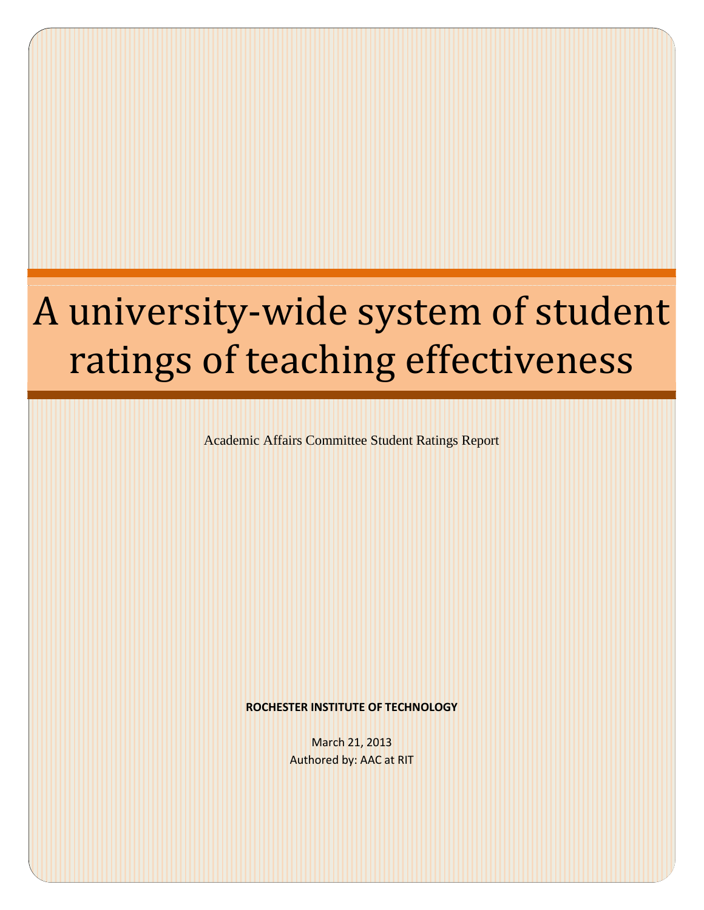# A university-wide system of student ratings of teaching effectiveness

Academic Affairs Committee Student Ratings Report

**ROCHESTER INSTITUTE OF TECHNOLOGY**

March 21, 2013 Authored by: AAC at RIT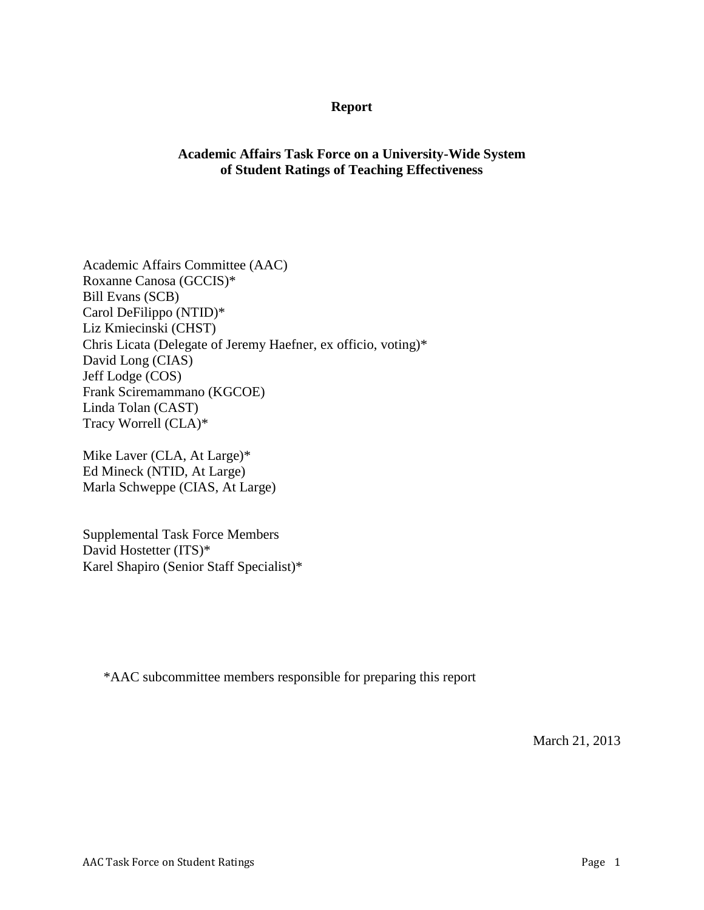#### **Report**

# **Academic Affairs Task Force on a University-Wide System of Student Ratings of Teaching Effectiveness**

Academic Affairs Committee (AAC) Roxanne Canosa (GCCIS)\* Bill Evans (SCB) Carol DeFilippo (NTID)\* Liz Kmiecinski (CHST) Chris Licata (Delegate of Jeremy Haefner, ex officio, voting)\* David Long (CIAS) Jeff Lodge (COS) Frank Sciremammano (KGCOE) Linda Tolan (CAST) Tracy Worrell (CLA)\*

Mike Laver (CLA, At Large)\* Ed Mineck (NTID, At Large) Marla Schweppe (CIAS, At Large)

Supplemental Task Force Members David Hostetter (ITS)\* Karel Shapiro (Senior Staff Specialist)\*

\*AAC subcommittee members responsible for preparing this report

March 21, 2013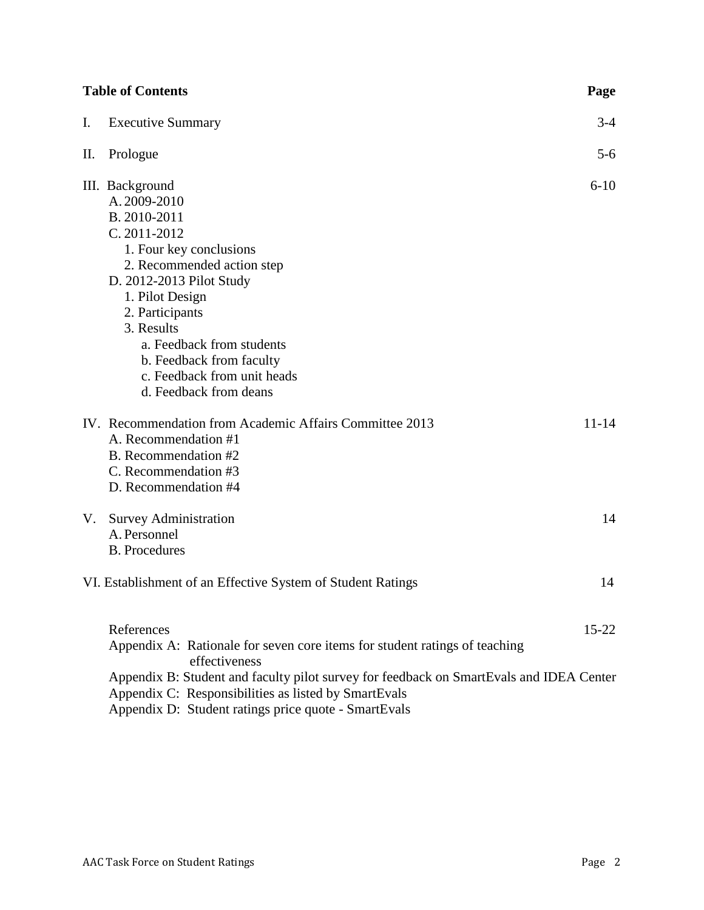| <b>Table of Contents</b><br>Page |                                                                                                                                                                                                                                                                                                                            |           |
|----------------------------------|----------------------------------------------------------------------------------------------------------------------------------------------------------------------------------------------------------------------------------------------------------------------------------------------------------------------------|-----------|
| I.                               | <b>Executive Summary</b>                                                                                                                                                                                                                                                                                                   | $3-4$     |
| П.                               | Prologue                                                                                                                                                                                                                                                                                                                   | $5 - 6$   |
|                                  | III. Background<br>A. 2009-2010<br>B. 2010-2011<br>C. 2011-2012<br>1. Four key conclusions<br>2. Recommended action step<br>D. 2012-2013 Pilot Study<br>1. Pilot Design<br>2. Participants<br>3. Results<br>a. Feedback from students<br>b. Feedback from faculty<br>c. Feedback from unit heads<br>d. Feedback from deans | $6 - 10$  |
|                                  | IV. Recommendation from Academic Affairs Committee 2013<br>A. Recommendation #1<br>B. Recommendation #2<br>C. Recommendation #3<br>D. Recommendation #4                                                                                                                                                                    | $11 - 14$ |
| V.                               | <b>Survey Administration</b><br>A. Personnel<br><b>B.</b> Procedures                                                                                                                                                                                                                                                       | 14        |
|                                  | VI. Establishment of an Effective System of Student Ratings                                                                                                                                                                                                                                                                | 14        |
|                                  | References<br>Appendix A: Rationale for seven core items for student ratings of teaching<br>effectiveness                                                                                                                                                                                                                  | $15 - 22$ |
|                                  | Appendix B: Student and faculty pilot survey for feedback on SmartEvals and IDEA Center<br>Appendix C: Responsibilities as listed by SmartEvals<br>$P = P \cup Q = 1$ , $P = P \cup P = P$                                                                                                                                 |           |

Appendix D: Student ratings price quote - SmartEvals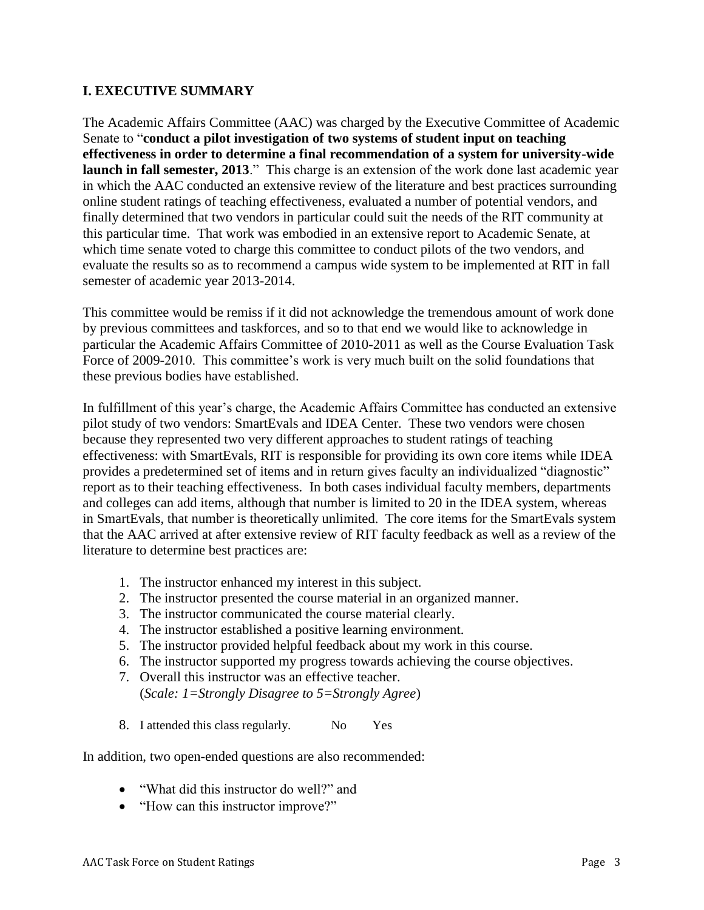# **I. EXECUTIVE SUMMARY**

The Academic Affairs Committee (AAC) was charged by the Executive Committee of Academic Senate to "**conduct a pilot investigation of two systems of student input on teaching effectiveness in order to determine a final recommendation of a system for university-wide launch in fall semester, 2013**." This charge is an extension of the work done last academic year in which the AAC conducted an extensive review of the literature and best practices surrounding online student ratings of teaching effectiveness, evaluated a number of potential vendors, and finally determined that two vendors in particular could suit the needs of the RIT community at this particular time. That work was embodied in an extensive report to Academic Senate, at which time senate voted to charge this committee to conduct pilots of the two vendors, and evaluate the results so as to recommend a campus wide system to be implemented at RIT in fall semester of academic year 2013-2014.

This committee would be remiss if it did not acknowledge the tremendous amount of work done by previous committees and taskforces, and so to that end we would like to acknowledge in particular the Academic Affairs Committee of 2010-2011 as well as the Course Evaluation Task Force of 2009-2010. This committee's work is very much built on the solid foundations that these previous bodies have established.

In fulfillment of this year's charge, the Academic Affairs Committee has conducted an extensive pilot study of two vendors: SmartEvals and IDEA Center. These two vendors were chosen because they represented two very different approaches to student ratings of teaching effectiveness: with SmartEvals, RIT is responsible for providing its own core items while IDEA provides a predetermined set of items and in return gives faculty an individualized "diagnostic" report as to their teaching effectiveness. In both cases individual faculty members, departments and colleges can add items, although that number is limited to 20 in the IDEA system, whereas in SmartEvals, that number is theoretically unlimited. The core items for the SmartEvals system that the AAC arrived at after extensive review of RIT faculty feedback as well as a review of the literature to determine best practices are:

- 1. The instructor enhanced my interest in this subject.
- 2. The instructor presented the course material in an organized manner.
- 3. The instructor communicated the course material clearly.
- 4. The instructor established a positive learning environment.
- 5. The instructor provided helpful feedback about my work in this course.
- 6. The instructor supported my progress towards achieving the course objectives.
- 7. Overall this instructor was an effective teacher. (*Scale: 1=Strongly Disagree to 5=Strongly Agree*)
- 8. I attended this class regularly. No Yes

In addition, two open-ended questions are also recommended:

- "What did this instructor do well?" and
- "How can this instructor improve?"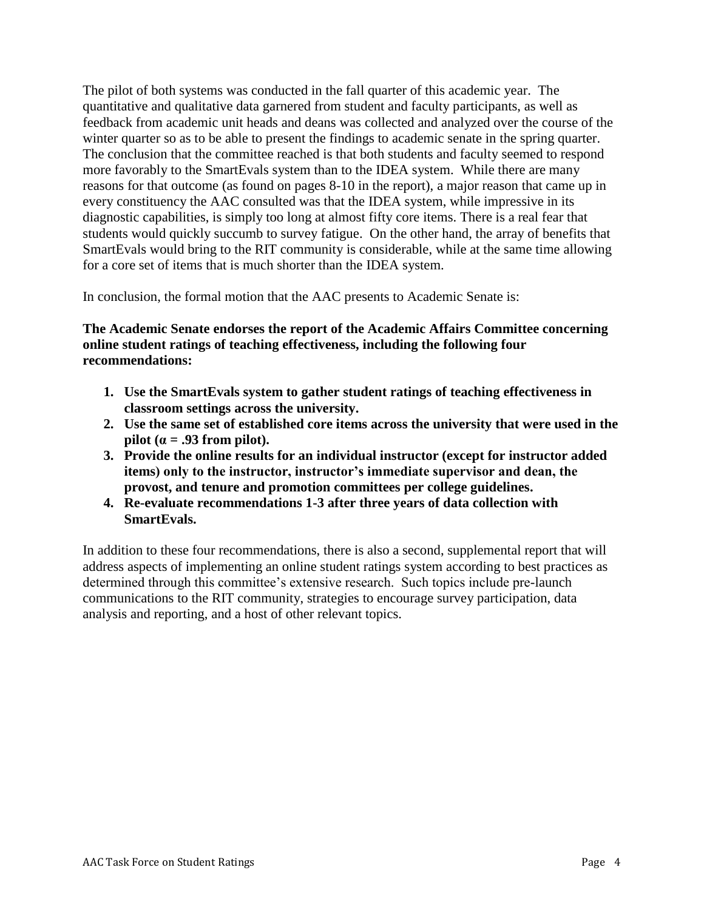The pilot of both systems was conducted in the fall quarter of this academic year. The quantitative and qualitative data garnered from student and faculty participants, as well as feedback from academic unit heads and deans was collected and analyzed over the course of the winter quarter so as to be able to present the findings to academic senate in the spring quarter. The conclusion that the committee reached is that both students and faculty seemed to respond more favorably to the SmartEvals system than to the IDEA system. While there are many reasons for that outcome (as found on pages 8-10 in the report), a major reason that came up in every constituency the AAC consulted was that the IDEA system, while impressive in its diagnostic capabilities, is simply too long at almost fifty core items. There is a real fear that students would quickly succumb to survey fatigue. On the other hand, the array of benefits that SmartEvals would bring to the RIT community is considerable, while at the same time allowing for a core set of items that is much shorter than the IDEA system.

In conclusion, the formal motion that the AAC presents to Academic Senate is:

# **The Academic Senate endorses the report of the Academic Affairs Committee concerning online student ratings of teaching effectiveness, including the following four recommendations:**

- **1. Use the SmartEvals system to gather student ratings of teaching effectiveness in classroom settings across the university.**
- **2. Use the same set of established core items across the university that were used in the pilot** ( $\alpha = .93$  from pilot).
- **3. Provide the online results for an individual instructor (except for instructor added items) only to the instructor, instructor's immediate supervisor and dean, the provost, and tenure and promotion committees per college guidelines.**
- **4. Re-evaluate recommendations 1-3 after three years of data collection with SmartEvals.**

In addition to these four recommendations, there is also a second, supplemental report that will address aspects of implementing an online student ratings system according to best practices as determined through this committee's extensive research. Such topics include pre-launch communications to the RIT community, strategies to encourage survey participation, data analysis and reporting, and a host of other relevant topics.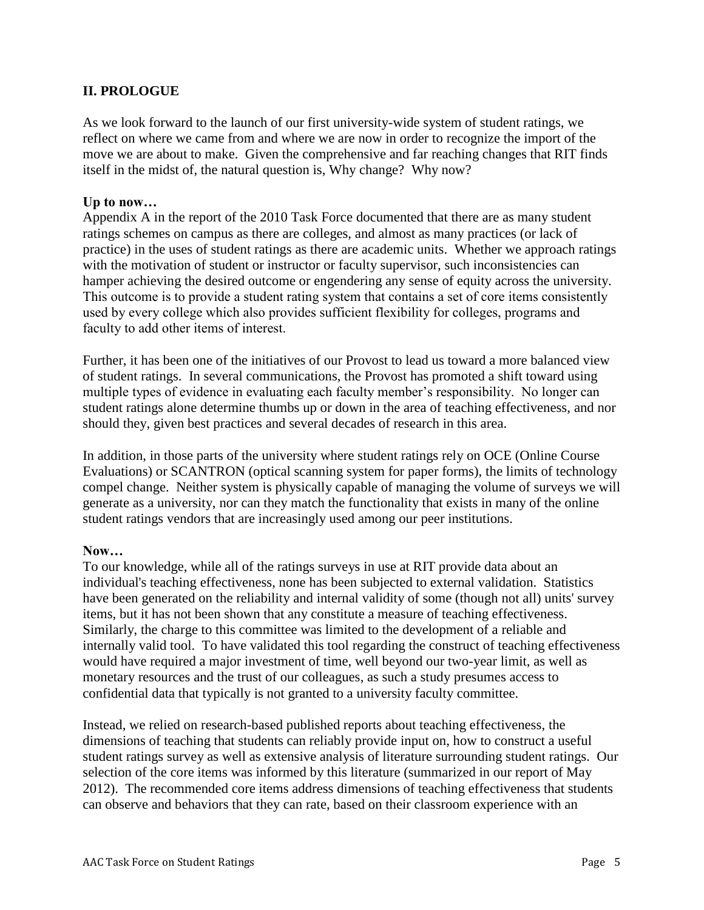# **II. PROLOGUE**

As we look forward to the launch of our first university-wide system of student ratings, we reflect on where we came from and where we are now in order to recognize the import of the move we are about to make. Given the comprehensive and far reaching changes that RIT finds itself in the midst of, the natural question is, Why change? Why now?

#### **Up to now…**

Appendix A in the report of the 2010 Task Force documented that there are as many student ratings schemes on campus as there are colleges, and almost as many practices (or lack of practice) in the uses of student ratings as there are academic units. Whether we approach ratings with the motivation of student or instructor or faculty supervisor, such inconsistencies can hamper achieving the desired outcome or engendering any sense of equity across the university. This outcome is to provide a student rating system that contains a set of core items consistently used by every college which also provides sufficient flexibility for colleges, programs and faculty to add other items of interest.

Further, it has been one of the initiatives of our Provost to lead us toward a more balanced view of student ratings. In several communications, the Provost has promoted a shift toward using multiple types of evidence in evaluating each faculty member's responsibility. No longer can student ratings alone determine thumbs up or down in the area of teaching effectiveness, and nor should they, given best practices and several decades of research in this area.

In addition, in those parts of the university where student ratings rely on OCE (Online Course Evaluations) or SCANTRON (optical scanning system for paper forms), the limits of technology compel change. Neither system is physically capable of managing the volume of surveys we will generate as a university, nor can they match the functionality that exists in many of the online student ratings vendors that are increasingly used among our peer institutions.

#### **Now…**

To our knowledge, while all of the ratings surveys in use at RIT provide data about an individual's teaching effectiveness, none has been subjected to external validation. Statistics have been generated on the reliability and internal validity of some (though not all) units' survey items, but it has not been shown that any constitute a measure of teaching effectiveness. Similarly, the charge to this committee was limited to the development of a reliable and internally valid tool. To have validated this tool regarding the construct of teaching effectiveness would have required a major investment of time, well beyond our two-year limit, as well as monetary resources and the trust of our colleagues, as such a study presumes access to confidential data that typically is not granted to a university faculty committee.

Instead, we relied on research-based published reports about teaching effectiveness, the dimensions of teaching that students can reliably provide input on, how to construct a useful student ratings survey as well as extensive analysis of literature surrounding student ratings. Our selection of the core items was informed by this literature (summarized in our report of May 2012). The recommended core items address dimensions of teaching effectiveness that students can observe and behaviors that they can rate, based on their classroom experience with an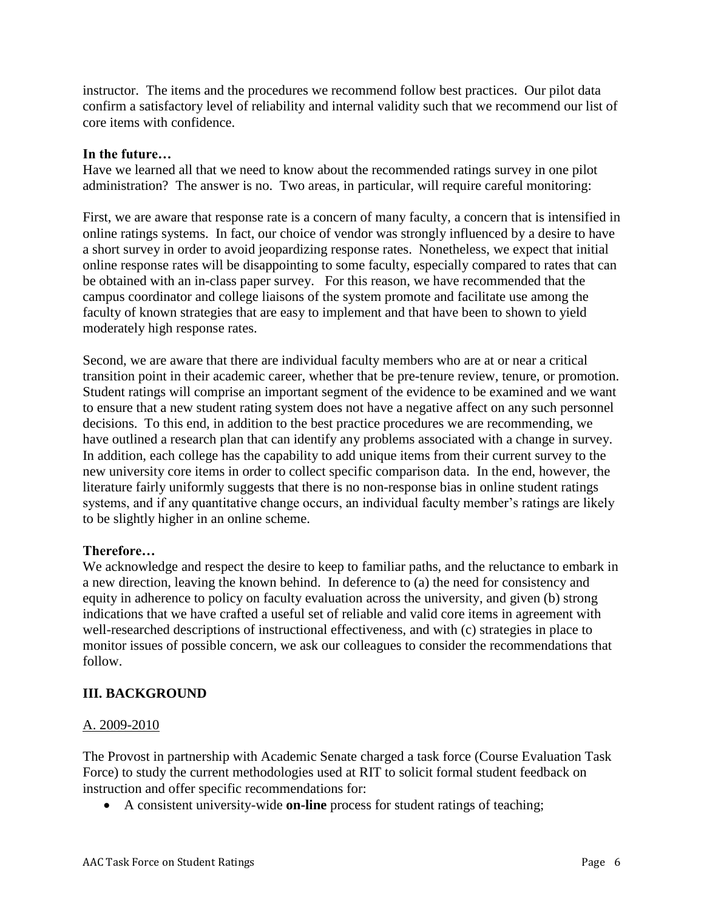instructor. The items and the procedures we recommend follow best practices. Our pilot data confirm a satisfactory level of reliability and internal validity such that we recommend our list of core items with confidence.

#### **In the future…**

Have we learned all that we need to know about the recommended ratings survey in one pilot administration? The answer is no. Two areas, in particular, will require careful monitoring:

First, we are aware that response rate is a concern of many faculty, a concern that is intensified in online ratings systems. In fact, our choice of vendor was strongly influenced by a desire to have a short survey in order to avoid jeopardizing response rates. Nonetheless, we expect that initial online response rates will be disappointing to some faculty, especially compared to rates that can be obtained with an in-class paper survey. For this reason, we have recommended that the campus coordinator and college liaisons of the system promote and facilitate use among the faculty of known strategies that are easy to implement and that have been to shown to yield moderately high response rates.

Second, we are aware that there are individual faculty members who are at or near a critical transition point in their academic career, whether that be pre-tenure review, tenure, or promotion. Student ratings will comprise an important segment of the evidence to be examined and we want to ensure that a new student rating system does not have a negative affect on any such personnel decisions. To this end, in addition to the best practice procedures we are recommending, we have outlined a research plan that can identify any problems associated with a change in survey. In addition, each college has the capability to add unique items from their current survey to the new university core items in order to collect specific comparison data. In the end, however, the literature fairly uniformly suggests that there is no non-response bias in online student ratings systems, and if any quantitative change occurs, an individual faculty member's ratings are likely to be slightly higher in an online scheme.

# **Therefore…**

We acknowledge and respect the desire to keep to familiar paths, and the reluctance to embark in a new direction, leaving the known behind. In deference to (a) the need for consistency and equity in adherence to policy on faculty evaluation across the university, and given (b) strong indications that we have crafted a useful set of reliable and valid core items in agreement with well-researched descriptions of instructional effectiveness, and with (c) strategies in place to monitor issues of possible concern, we ask our colleagues to consider the recommendations that follow.

# **III. BACKGROUND**

# A. 2009-2010

The Provost in partnership with Academic Senate charged a task force (Course Evaluation Task Force) to study the current methodologies used at RIT to solicit formal student feedback on instruction and offer specific recommendations for:

A consistent university-wide **on-line** process for student ratings of teaching;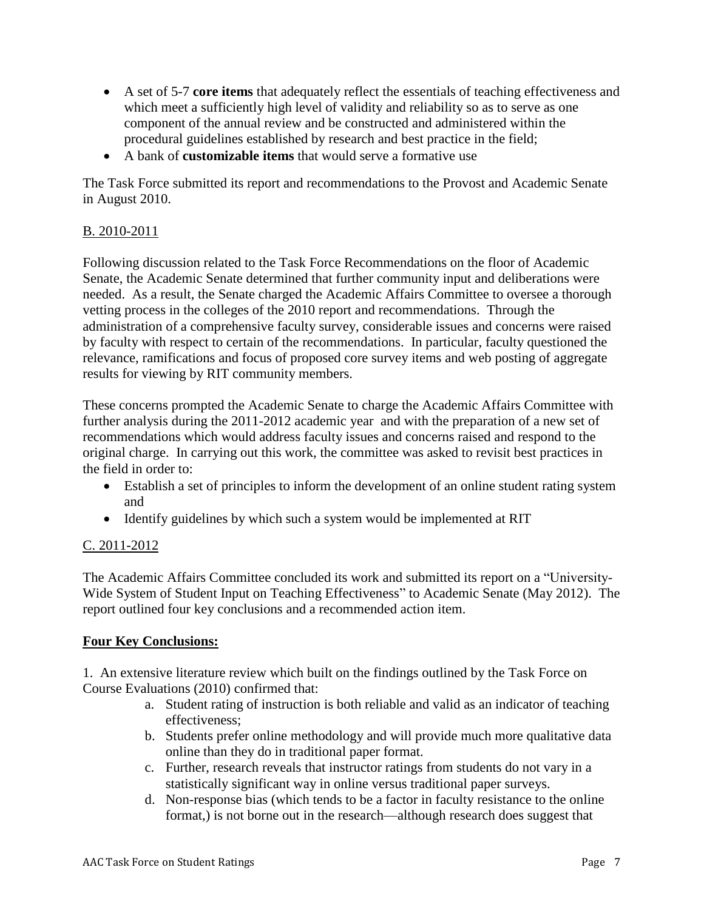- A set of 5-7 **core items** that adequately reflect the essentials of teaching effectiveness and which meet a sufficiently high level of validity and reliability so as to serve as one component of the annual review and be constructed and administered within the procedural guidelines established by research and best practice in the field;
- A bank of **customizable items** that would serve a formative use

The Task Force submitted its report and recommendations to the Provost and Academic Senate in August 2010.

# B. 2010-2011

Following discussion related to the Task Force Recommendations on the floor of Academic Senate, the Academic Senate determined that further community input and deliberations were needed. As a result, the Senate charged the Academic Affairs Committee to oversee a thorough vetting process in the colleges of the 2010 report and recommendations. Through the administration of a comprehensive faculty survey, considerable issues and concerns were raised by faculty with respect to certain of the recommendations. In particular, faculty questioned the relevance, ramifications and focus of proposed core survey items and web posting of aggregate results for viewing by RIT community members.

These concerns prompted the Academic Senate to charge the Academic Affairs Committee with further analysis during the 2011-2012 academic year and with the preparation of a new set of recommendations which would address faculty issues and concerns raised and respond to the original charge. In carrying out this work, the committee was asked to revisit best practices in the field in order to:

- Establish a set of principles to inform the development of an online student rating system and
- Identify guidelines by which such a system would be implemented at RIT

# C. 2011-2012

The Academic Affairs Committee concluded its work and submitted its report on a "University-Wide System of Student Input on Teaching Effectiveness" to Academic Senate (May 2012). The report outlined four key conclusions and a recommended action item.

# **Four Key Conclusions:**

1. An extensive literature review which built on the findings outlined by the Task Force on Course Evaluations (2010) confirmed that:

- a. Student rating of instruction is both reliable and valid as an indicator of teaching effectiveness;
- b. Students prefer online methodology and will provide much more qualitative data online than they do in traditional paper format.
- c. Further, research reveals that instructor ratings from students do not vary in a statistically significant way in online versus traditional paper surveys.
- d. Non-response bias (which tends to be a factor in faculty resistance to the online format,) is not borne out in the research—although research does suggest that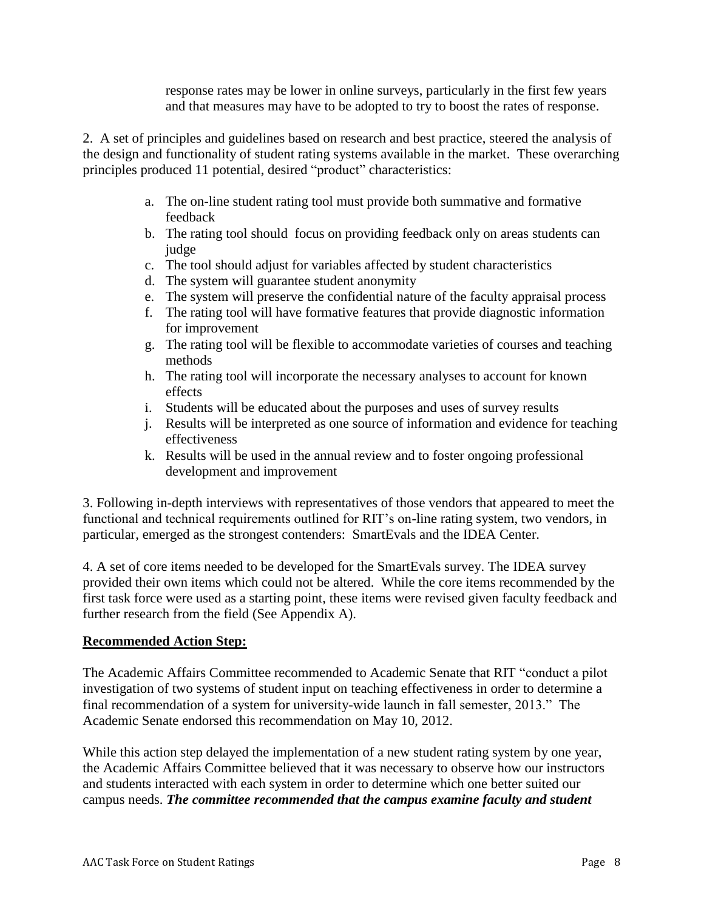response rates may be lower in online surveys, particularly in the first few years and that measures may have to be adopted to try to boost the rates of response.

2. A set of principles and guidelines based on research and best practice, steered the analysis of the design and functionality of student rating systems available in the market. These overarching principles produced 11 potential, desired "product" characteristics:

- a. The on-line student rating tool must provide both summative and formative feedback
- b. The rating tool should focus on providing feedback only on areas students can judge
- c. The tool should adjust for variables affected by student characteristics
- d. The system will guarantee student anonymity
- e. The system will preserve the confidential nature of the faculty appraisal process
- f. The rating tool will have formative features that provide diagnostic information for improvement
- g. The rating tool will be flexible to accommodate varieties of courses and teaching methods
- h. The rating tool will incorporate the necessary analyses to account for known effects
- i. Students will be educated about the purposes and uses of survey results
- j. Results will be interpreted as one source of information and evidence for teaching effectiveness
- k. Results will be used in the annual review and to foster ongoing professional development and improvement

3. Following in-depth interviews with representatives of those vendors that appeared to meet the functional and technical requirements outlined for RIT's on-line rating system, two vendors, in particular, emerged as the strongest contenders: SmartEvals and the IDEA Center.

4. A set of core items needed to be developed for the SmartEvals survey. The IDEA survey provided their own items which could not be altered. While the core items recommended by the first task force were used as a starting point, these items were revised given faculty feedback and further research from the field (See Appendix A).

# **Recommended Action Step:**

The Academic Affairs Committee recommended to Academic Senate that RIT "conduct a pilot investigation of two systems of student input on teaching effectiveness in order to determine a final recommendation of a system for university-wide launch in fall semester, 2013." The Academic Senate endorsed this recommendation on May 10, 2012.

While this action step delayed the implementation of a new student rating system by one year, the Academic Affairs Committee believed that it was necessary to observe how our instructors and students interacted with each system in order to determine which one better suited our campus needs. *The committee recommended that the campus examine faculty and student*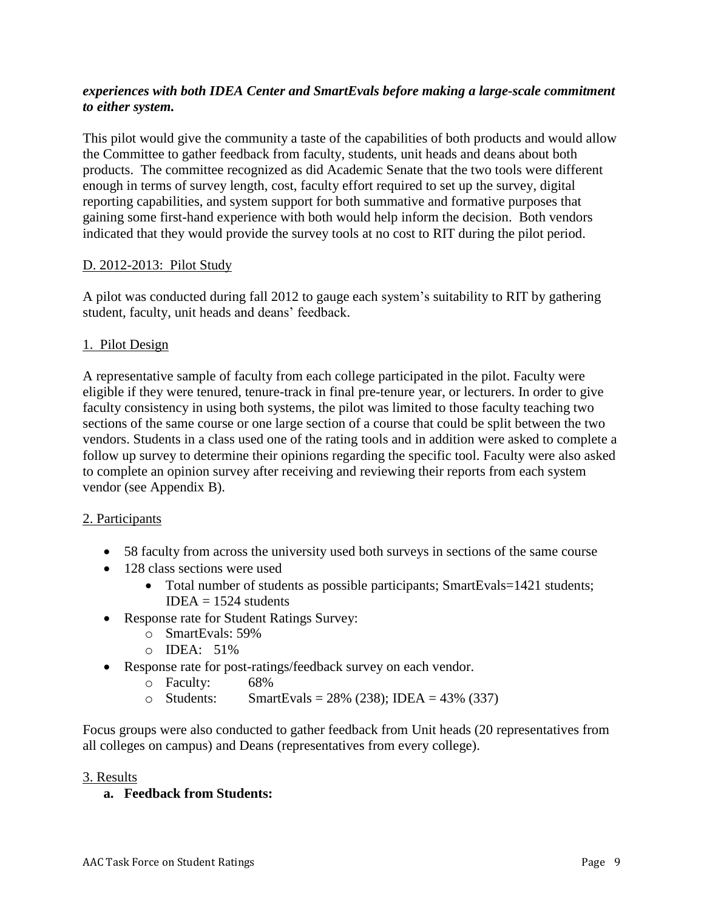# *experiences with both IDEA Center and SmartEvals before making a large-scale commitment to either system.*

This pilot would give the community a taste of the capabilities of both products and would allow the Committee to gather feedback from faculty, students, unit heads and deans about both products. The committee recognized as did Academic Senate that the two tools were different enough in terms of survey length, cost, faculty effort required to set up the survey, digital reporting capabilities, and system support for both summative and formative purposes that gaining some first-hand experience with both would help inform the decision. Both vendors indicated that they would provide the survey tools at no cost to RIT during the pilot period.

### D. 2012-2013: Pilot Study

A pilot was conducted during fall 2012 to gauge each system's suitability to RIT by gathering student, faculty, unit heads and deans' feedback.

# 1. Pilot Design

A representative sample of faculty from each college participated in the pilot. Faculty were eligible if they were tenured, tenure-track in final pre-tenure year, or lecturers. In order to give faculty consistency in using both systems, the pilot was limited to those faculty teaching two sections of the same course or one large section of a course that could be split between the two vendors. Students in a class used one of the rating tools and in addition were asked to complete a follow up survey to determine their opinions regarding the specific tool. Faculty were also asked to complete an opinion survey after receiving and reviewing their reports from each system vendor (see Appendix B).

#### 2. Participants

- 58 faculty from across the university used both surveys in sections of the same course
- 128 class sections were used
	- Total number of students as possible participants; SmartEvals=1421 students;  $IDEA = 1524$  students
- Response rate for Student Ratings Survey:
	- o SmartEvals: 59%
	- o IDEA: 51%
- Response rate for post-ratings/feedback survey on each vendor.
	- o Faculty: 68%
	- $\circ$  Students: SmartEvals = 28% (238); IDEA = 43% (337)

Focus groups were also conducted to gather feedback from Unit heads (20 representatives from all colleges on campus) and Deans (representatives from every college).

#### 3. Results

#### **a. Feedback from Students:**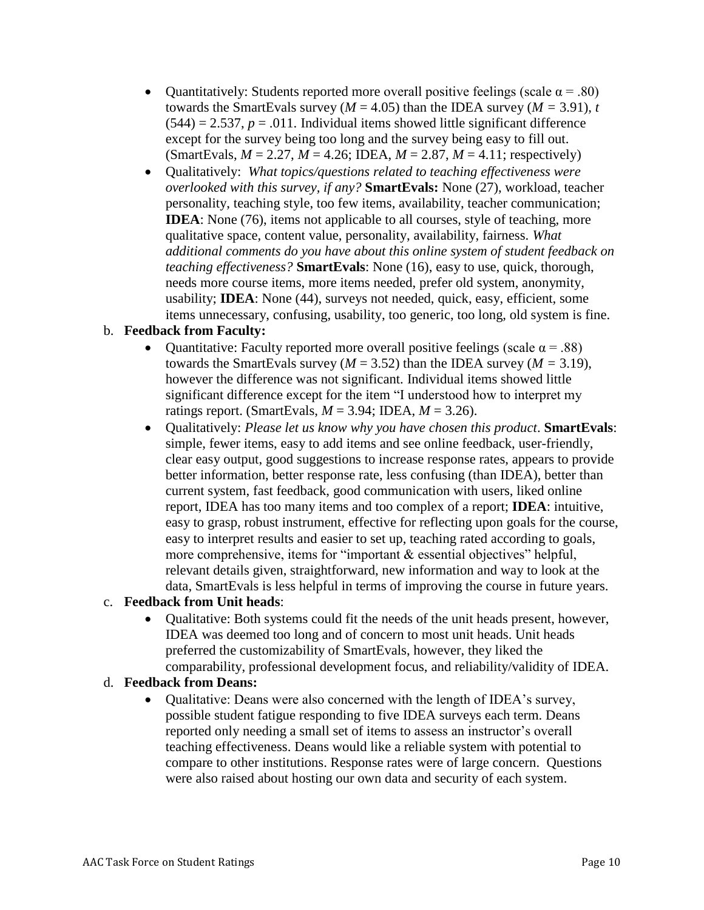- Quantitatively: Students reported more overall positive feelings (scale  $\alpha = .80$ ) towards the SmartEvals survey ( $M = 4.05$ ) than the IDEA survey ( $M = 3.91$ ), *t*  $(544) = 2.537$ ,  $p = .011$ . Individual items showed little significant difference except for the survey being too long and the survey being easy to fill out.  $(SmartEvals, M = 2.27, M = 4.26; IDEA, M = 2.87, M = 4.11; respectively)$
- Qualitatively: *What topics/questions related to teaching effectiveness were overlooked with this survey, if any?* **SmartEvals:** None (27), workload, teacher personality, teaching style, too few items, availability, teacher communication; **IDEA**: None (76), items not applicable to all courses, style of teaching, more qualitative space, content value, personality, availability, fairness. *What additional comments do you have about this online system of student feedback on teaching effectiveness?* **SmartEvals**: None (16), easy to use, quick, thorough, needs more course items, more items needed, prefer old system, anonymity, usability; **IDEA**: None (44), surveys not needed, quick, easy, efficient, some items unnecessary, confusing, usability, too generic, too long, old system is fine.

# b. **Feedback from Faculty:**

- Quantitative: Faculty reported more overall positive feelings (scale  $\alpha$  = .88) towards the SmartEvals survey ( $M = 3.52$ ) than the IDEA survey ( $M = 3.19$ ), however the difference was not significant. Individual items showed little significant difference except for the item "I understood how to interpret my ratings report. (SmartEvals, *M* = 3.94; IDEA, *M* = 3.26).
- Qualitatively: *Please let us know why you have chosen this product*. **SmartEvals**: simple, fewer items, easy to add items and see online feedback, user-friendly, clear easy output, good suggestions to increase response rates, appears to provide better information, better response rate, less confusing (than IDEA), better than current system, fast feedback, good communication with users, liked online report, IDEA has too many items and too complex of a report; **IDEA**: intuitive, easy to grasp, robust instrument, effective for reflecting upon goals for the course, easy to interpret results and easier to set up, teaching rated according to goals, more comprehensive, items for "important & essential objectives" helpful, relevant details given, straightforward, new information and way to look at the data, SmartEvals is less helpful in terms of improving the course in future years.

#### c. **Feedback from Unit heads**:

 Qualitative: Both systems could fit the needs of the unit heads present, however, IDEA was deemed too long and of concern to most unit heads. Unit heads preferred the customizability of SmartEvals, however, they liked the comparability, professional development focus, and reliability/validity of IDEA.

#### d. **Feedback from Deans:**

• Qualitative: Deans were also concerned with the length of IDEA's survey, possible student fatigue responding to five IDEA surveys each term. Deans reported only needing a small set of items to assess an instructor's overall teaching effectiveness. Deans would like a reliable system with potential to compare to other institutions. Response rates were of large concern. Questions were also raised about hosting our own data and security of each system.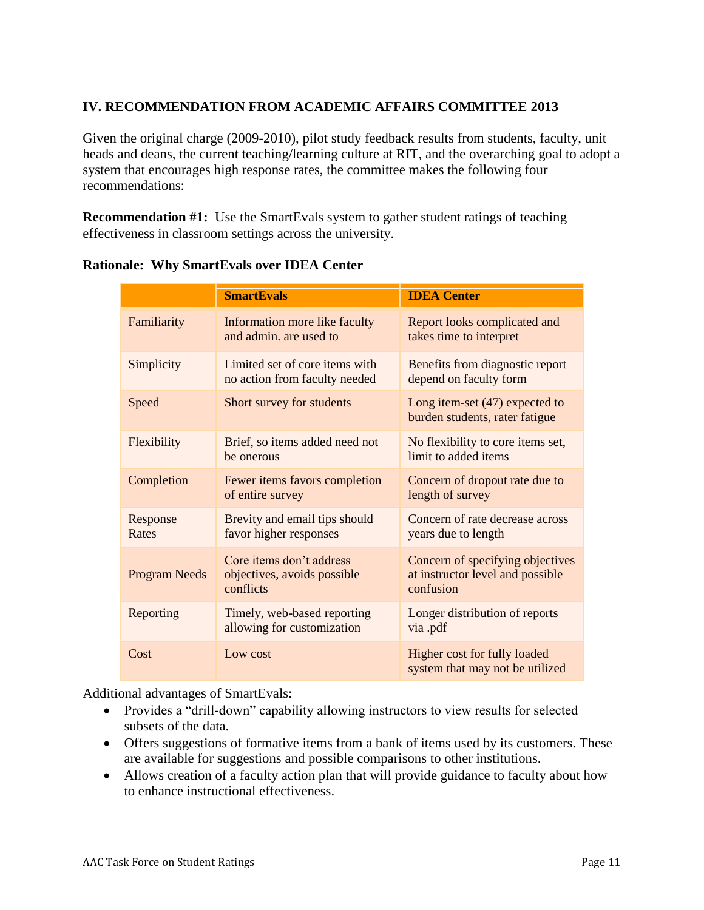# **IV. RECOMMENDATION FROM ACADEMIC AFFAIRS COMMITTEE 2013**

Given the original charge (2009-2010), pilot study feedback results from students, faculty, unit heads and deans, the current teaching/learning culture at RIT, and the overarching goal to adopt a system that encourages high response rates, the committee makes the following four recommendations:

**Recommendation #1:** Use the SmartEvals system to gather student ratings of teaching effectiveness in classroom settings across the university.

|                      | <b>SmartEvals</b>                                                                               | <b>IDEA</b> Center                                                                |
|----------------------|-------------------------------------------------------------------------------------------------|-----------------------------------------------------------------------------------|
| Familiarity          | Information more like faculty<br>and admin, are used to                                         | Report looks complicated and<br>takes time to interpret                           |
| Simplicity           | Limited set of core items with<br>no action from faculty needed                                 | Benefits from diagnostic report<br>depend on faculty form                         |
| Speed                | Short survey for students<br>Long item-set $(47)$ expected to<br>burden students, rater fatigue |                                                                                   |
| Flexibility          | Brief, so items added need not<br>be onerous                                                    | No flexibility to core items set,<br>limit to added items                         |
| Completion           | Fewer items favors completion<br>of entire survey                                               | Concern of dropout rate due to<br>length of survey                                |
| Response<br>Rates    | Brevity and email tips should<br>favor higher responses                                         | Concern of rate decrease across<br>years due to length                            |
| <b>Program Needs</b> | Core items don't address<br>objectives, avoids possible<br>conflicts                            | Concern of specifying objectives<br>at instructor level and possible<br>confusion |
| Reporting            | Timely, web-based reporting<br>allowing for customization                                       | Longer distribution of reports<br>via .pdf                                        |
| Cost                 | Low cost                                                                                        | Higher cost for fully loaded<br>system that may not be utilized                   |

#### **Rationale: Why SmartEvals over IDEA Center**

Additional advantages of SmartEvals:

- Provides a "drill-down" capability allowing instructors to view results for selected subsets of the data.
- Offers suggestions of formative items from a bank of items used by its customers. These are available for suggestions and possible comparisons to other institutions.
- Allows creation of a faculty action plan that will provide guidance to faculty about how to enhance instructional effectiveness.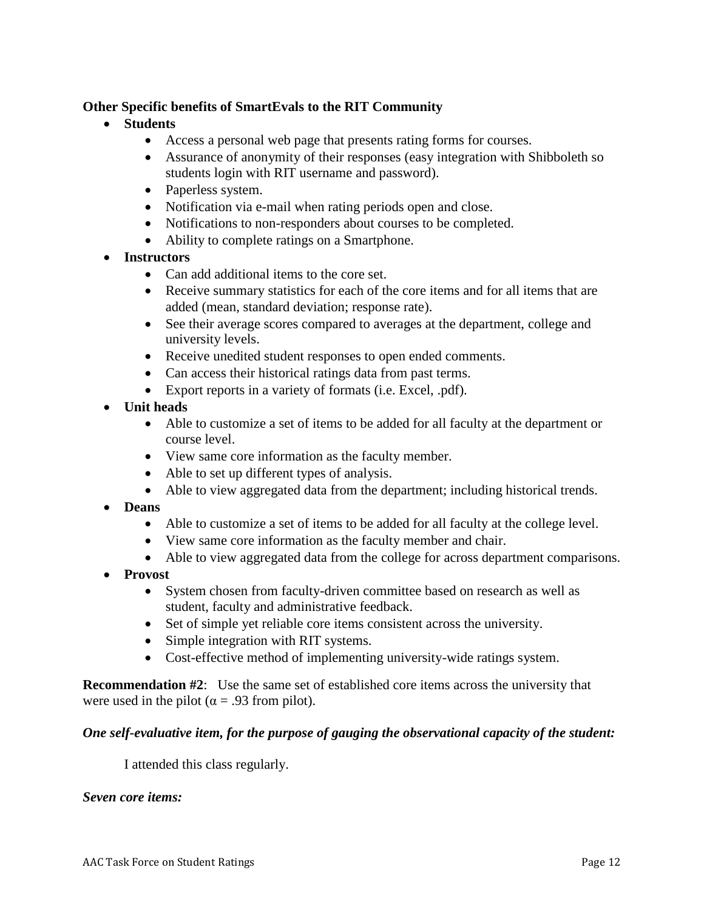# **Other Specific benefits of SmartEvals to the RIT Community**

- **Students**
	- Access a personal web page that presents rating forms for courses.
	- Assurance of anonymity of their responses (easy integration with Shibboleth so students login with RIT username and password).
	- Paperless system.
	- Notification via e-mail when rating periods open and close.
	- Notifications to non-responders about courses to be completed.
	- Ability to complete ratings on a Smartphone.
- **Instructors**
	- Can add additional items to the core set.
	- Receive summary statistics for each of the core items and for all items that are added (mean, standard deviation; response rate).
	- See their average scores compared to averages at the department, college and university levels.
	- Receive unedited student responses to open ended comments.
	- Can access their historical ratings data from past terms.
	- Export reports in a variety of formats (i.e. Excel, .pdf).
- **Unit heads**
	- Able to customize a set of items to be added for all faculty at the department or course level.
	- View same core information as the faculty member.
	- Able to set up different types of analysis.
	- Able to view aggregated data from the department; including historical trends.
- **Deans**
	- Able to customize a set of items to be added for all faculty at the college level.
	- View same core information as the faculty member and chair.
	- Able to view aggregated data from the college for across department comparisons.
- **Provost**
	- System chosen from faculty-driven committee based on research as well as student, faculty and administrative feedback.
	- Set of simple yet reliable core items consistent across the university.
	- Simple integration with RIT systems.
	- Cost-effective method of implementing university-wide ratings system.

**Recommendation #2**: Use the same set of established core items across the university that were used in the pilot ( $\alpha$  = .93 from pilot).

#### *One self-evaluative item, for the purpose of gauging the observational capacity of the student:*

I attended this class regularly.

#### *Seven core items:*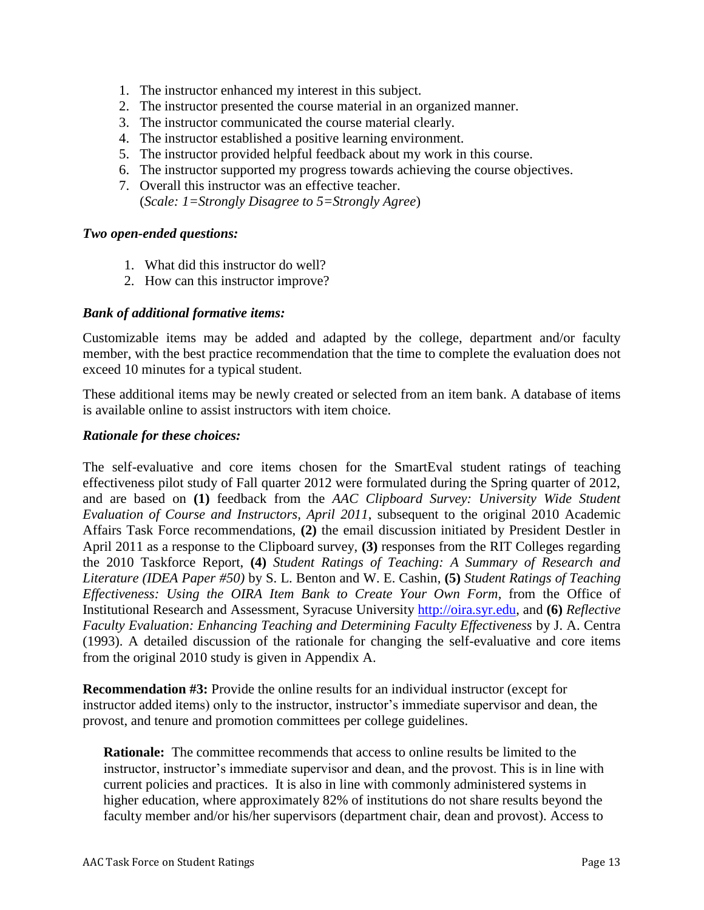- 1. The instructor enhanced my interest in this subject.
- 2. The instructor presented the course material in an organized manner.
- 3. The instructor communicated the course material clearly.
- 4. The instructor established a positive learning environment.
- 5. The instructor provided helpful feedback about my work in this course.
- 6. The instructor supported my progress towards achieving the course objectives.
- 7. Overall this instructor was an effective teacher. (*Scale: 1=Strongly Disagree to 5=Strongly Agree*)

#### *Two open-ended questions:*

- 1. What did this instructor do well?
- 2. How can this instructor improve?

#### *Bank of additional formative items:*

Customizable items may be added and adapted by the college, department and/or faculty member, with the best practice recommendation that the time to complete the evaluation does not exceed 10 minutes for a typical student.

These additional items may be newly created or selected from an item bank. A database of items is available online to assist instructors with item choice.

#### *Rationale for these choices:*

The self-evaluative and core items chosen for the SmartEval student ratings of teaching effectiveness pilot study of Fall quarter 2012 were formulated during the Spring quarter of 2012, and are based on **(1)** feedback from the *AAC Clipboard Survey: University Wide Student Evaluation of Course and Instructors, April 2011*, subsequent to the original 2010 Academic Affairs Task Force recommendations, **(2)** the email discussion initiated by President Destler in April 2011 as a response to the Clipboard survey, **(3)** responses from the RIT Colleges regarding the 2010 Taskforce Report, **(4)** *Student Ratings of Teaching: A Summary of Research and Literature (IDEA Paper #50)* by S. L. Benton and W. E. Cashin, **(5)** *Student Ratings of Teaching Effectiveness: Using the OIRA Item Bank to Create Your Own Form*, from the Office of Institutional Research and Assessment, Syracuse University [http://oira.syr.edu,](http://oira.syr.edu/) and **(6)** *Reflective Faculty Evaluation: Enhancing Teaching and Determining Faculty Effectiveness* by J. A. Centra (1993). A detailed discussion of the rationale for changing the self-evaluative and core items from the original 2010 study is given in Appendix A.

**Recommendation #3:** Provide the online results for an individual instructor (except for instructor added items) only to the instructor, instructor's immediate supervisor and dean, the provost, and tenure and promotion committees per college guidelines.

**Rationale:** The committee recommends that access to online results be limited to the instructor, instructor's immediate supervisor and dean, and the provost. This is in line with current policies and practices. It is also in line with commonly administered systems in higher education, where approximately 82% of institutions do not share results beyond the faculty member and/or his/her supervisors (department chair, dean and provost). Access to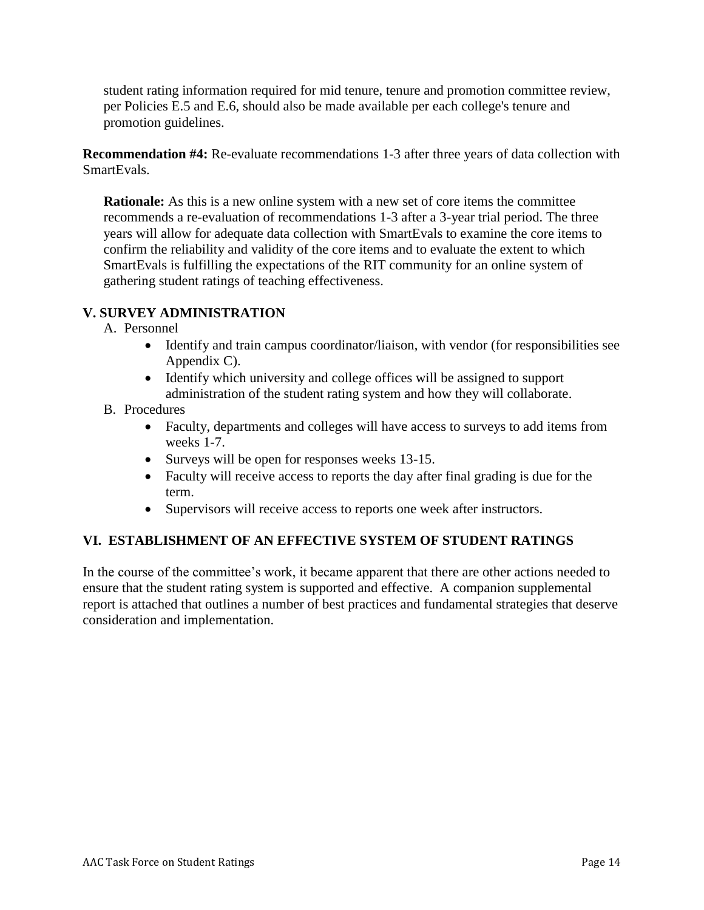student rating information required for mid tenure, tenure and promotion committee review, per Policies E.5 and E.6, should also be made available per each college's tenure and promotion guidelines.

**Recommendation #4:** Re-evaluate recommendations 1-3 after three years of data collection with SmartEvals.

**Rationale:** As this is a new online system with a new set of core items the committee recommends a re-evaluation of recommendations 1-3 after a 3-year trial period. The three years will allow for adequate data collection with SmartEvals to examine the core items to confirm the reliability and validity of the core items and to evaluate the extent to which SmartEvals is fulfilling the expectations of the RIT community for an online system of gathering student ratings of teaching effectiveness.

# **V. SURVEY ADMINISTRATION**

- A. Personnel
	- Identify and train campus coordinator/liaison, with vendor (for responsibilities see Appendix C).
	- Identify which university and college offices will be assigned to support administration of the student rating system and how they will collaborate.
- B. Procedures
	- Faculty, departments and colleges will have access to surveys to add items from weeks 1-7.
	- Surveys will be open for responses weeks 13-15.
	- Faculty will receive access to reports the day after final grading is due for the term.
	- Supervisors will receive access to reports one week after instructors.

# **VI. ESTABLISHMENT OF AN EFFECTIVE SYSTEM OF STUDENT RATINGS**

In the course of the committee's work, it became apparent that there are other actions needed to ensure that the student rating system is supported and effective. A companion supplemental report is attached that outlines a number of best practices and fundamental strategies that deserve consideration and implementation.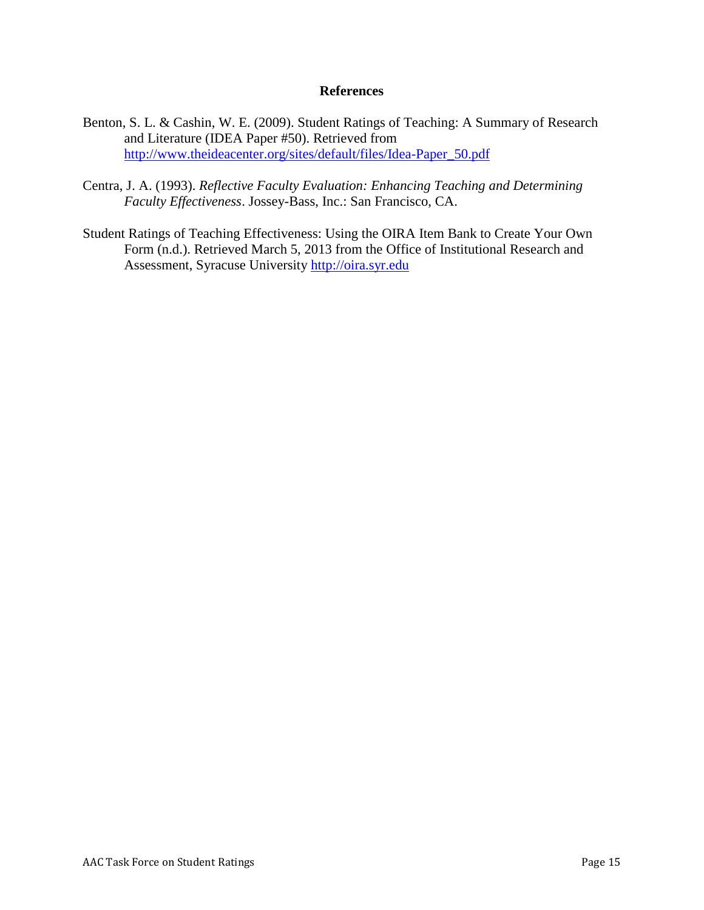#### **References**

- Benton, S. L. & Cashin, W. E. (2009). Student Ratings of Teaching: A Summary of Research and Literature (IDEA Paper #50). Retrieved from [http://www.theideacenter.org/sites/default/files/Idea-Paper\\_50.pdf](http://www.theideacenter.org/sites/default/files/Idea-Paper_50.pdf)
- Centra, J. A. (1993). *Reflective Faculty Evaluation: Enhancing Teaching and Determining Faculty Effectiveness*. Jossey-Bass, Inc.: San Francisco, CA.
- Student Ratings of Teaching Effectiveness: Using the OIRA Item Bank to Create Your Own Form (n.d.). Retrieved March 5, 2013 from the Office of Institutional Research and Assessment, Syracuse University [http://oira.syr.edu](http://oira.syr.edu/)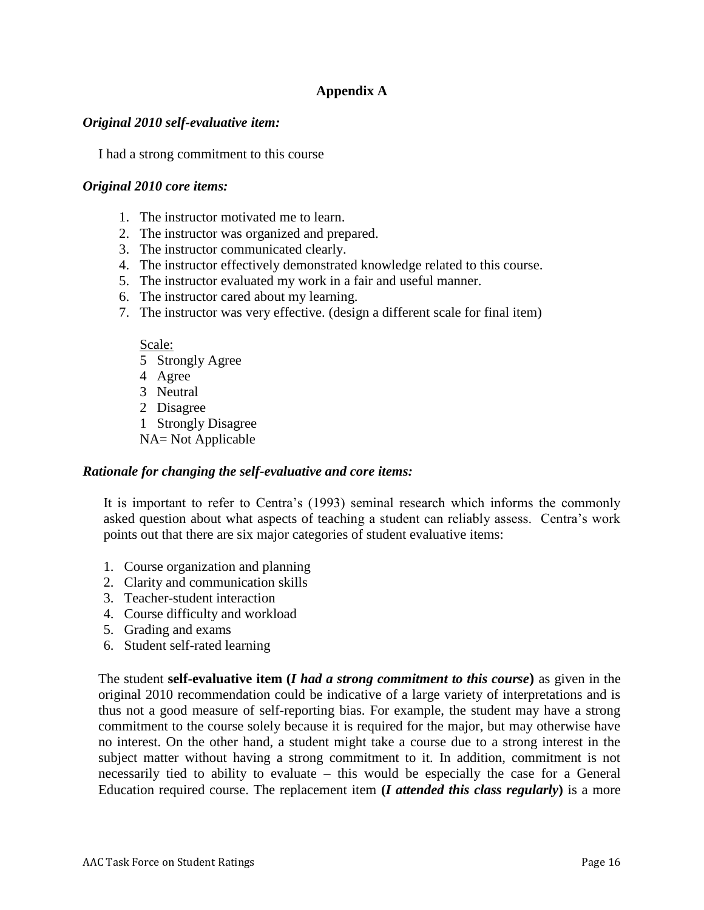# **Appendix A**

#### *Original 2010 self-evaluative item:*

I had a strong commitment to this course

#### *Original 2010 core items:*

- 1. The instructor motivated me to learn.
- 2. The instructor was organized and prepared.
- 3. The instructor communicated clearly.
- 4. The instructor effectively demonstrated knowledge related to this course.
- 5. The instructor evaluated my work in a fair and useful manner.
- 6. The instructor cared about my learning.
- 7. The instructor was very effective. (design a different scale for final item)

Scale:

- 5 Strongly Agree
- 4 Agree
- 3 Neutral
- 2 Disagree
- 1 Strongly Disagree
- NA= Not Applicable

#### *Rationale for changing the self-evaluative and core items:*

It is important to refer to Centra's (1993) seminal research which informs the commonly asked question about what aspects of teaching a student can reliably assess. Centra's work points out that there are six major categories of student evaluative items:

- 1. Course organization and planning
- 2. Clarity and communication skills
- 3. Teacher-student interaction
- 4. Course difficulty and workload
- 5. Grading and exams
- 6. Student self-rated learning

The student **self-evaluative item (***I had a strong commitment to this course***)** as given in the original 2010 recommendation could be indicative of a large variety of interpretations and is thus not a good measure of self-reporting bias. For example, the student may have a strong commitment to the course solely because it is required for the major, but may otherwise have no interest. On the other hand, a student might take a course due to a strong interest in the subject matter without having a strong commitment to it. In addition, commitment is not necessarily tied to ability to evaluate – this would be especially the case for a General Education required course. The replacement item **(***I attended this class regularly***)** is a more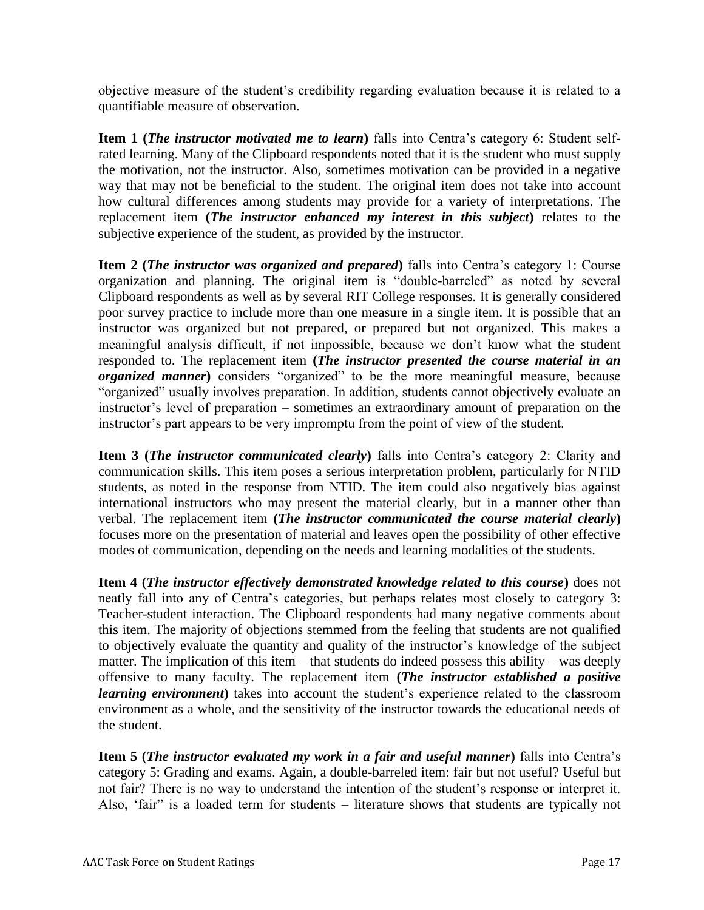objective measure of the student's credibility regarding evaluation because it is related to a quantifiable measure of observation.

**Item 1 (***The instructor motivated me to learn***)** falls into Centra's category 6: Student selfrated learning. Many of the Clipboard respondents noted that it is the student who must supply the motivation, not the instructor. Also, sometimes motivation can be provided in a negative way that may not be beneficial to the student. The original item does not take into account how cultural differences among students may provide for a variety of interpretations. The replacement item **(***The instructor enhanced my interest in this subject***)** relates to the subjective experience of the student, as provided by the instructor.

**Item 2 (***The instructor was organized and prepared***)** falls into Centra's category 1: Course organization and planning. The original item is "double-barreled" as noted by several Clipboard respondents as well as by several RIT College responses. It is generally considered poor survey practice to include more than one measure in a single item. It is possible that an instructor was organized but not prepared, or prepared but not organized. This makes a meaningful analysis difficult, if not impossible, because we don't know what the student responded to. The replacement item **(***The instructor presented the course material in an organized manner***)** considers "organized" to be the more meaningful measure, because "organized" usually involves preparation. In addition, students cannot objectively evaluate an instructor's level of preparation – sometimes an extraordinary amount of preparation on the instructor's part appears to be very impromptu from the point of view of the student.

**Item 3 (***The instructor communicated clearly***)** falls into Centra's category 2: Clarity and communication skills. This item poses a serious interpretation problem, particularly for NTID students, as noted in the response from NTID. The item could also negatively bias against international instructors who may present the material clearly, but in a manner other than verbal. The replacement item **(***The instructor communicated the course material clearly***)** focuses more on the presentation of material and leaves open the possibility of other effective modes of communication, depending on the needs and learning modalities of the students.

**Item 4 (***The instructor effectively demonstrated knowledge related to this course***)** does not neatly fall into any of Centra's categories, but perhaps relates most closely to category 3: Teacher-student interaction. The Clipboard respondents had many negative comments about this item. The majority of objections stemmed from the feeling that students are not qualified to objectively evaluate the quantity and quality of the instructor's knowledge of the subject matter. The implication of this item – that students do indeed possess this ability – was deeply offensive to many faculty. The replacement item **(***The instructor established a positive learning environment*) takes into account the student's experience related to the classroom environment as a whole, and the sensitivity of the instructor towards the educational needs of the student.

**Item 5 (***The instructor evaluated my work in a fair and useful manner***)** falls into Centra's category 5: Grading and exams. Again, a double-barreled item: fair but not useful? Useful but not fair? There is no way to understand the intention of the student's response or interpret it. Also, 'fair" is a loaded term for students – literature shows that students are typically not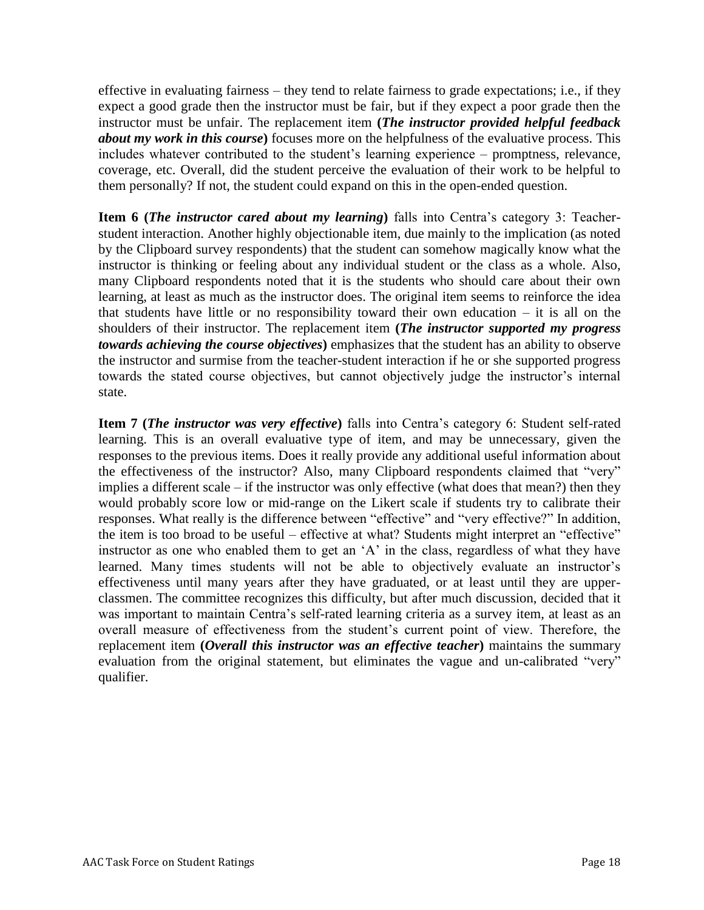effective in evaluating fairness – they tend to relate fairness to grade expectations; i.e., if they expect a good grade then the instructor must be fair, but if they expect a poor grade then the instructor must be unfair. The replacement item **(***The instructor provided helpful feedback about my work in this course***)** focuses more on the helpfulness of the evaluative process. This includes whatever contributed to the student's learning experience – promptness, relevance, coverage, etc. Overall, did the student perceive the evaluation of their work to be helpful to them personally? If not, the student could expand on this in the open-ended question.

**Item 6 (***The instructor cared about my learning***)** falls into Centra's category 3: Teacherstudent interaction. Another highly objectionable item, due mainly to the implication (as noted by the Clipboard survey respondents) that the student can somehow magically know what the instructor is thinking or feeling about any individual student or the class as a whole. Also, many Clipboard respondents noted that it is the students who should care about their own learning, at least as much as the instructor does. The original item seems to reinforce the idea that students have little or no responsibility toward their own education – it is all on the shoulders of their instructor. The replacement item **(***The instructor supported my progress towards achieving the course objectives***)** emphasizes that the student has an ability to observe the instructor and surmise from the teacher-student interaction if he or she supported progress towards the stated course objectives, but cannot objectively judge the instructor's internal state.

**Item 7 (***The instructor was very effective***)** falls into Centra's category 6: Student self-rated learning. This is an overall evaluative type of item, and may be unnecessary, given the responses to the previous items. Does it really provide any additional useful information about the effectiveness of the instructor? Also, many Clipboard respondents claimed that "very" implies a different scale – if the instructor was only effective (what does that mean?) then they would probably score low or mid-range on the Likert scale if students try to calibrate their responses. What really is the difference between "effective" and "very effective?" In addition, the item is too broad to be useful – effective at what? Students might interpret an "effective" instructor as one who enabled them to get an 'A' in the class, regardless of what they have learned. Many times students will not be able to objectively evaluate an instructor's effectiveness until many years after they have graduated, or at least until they are upperclassmen. The committee recognizes this difficulty, but after much discussion, decided that it was important to maintain Centra's self-rated learning criteria as a survey item, at least as an overall measure of effectiveness from the student's current point of view. Therefore, the replacement item **(***Overall this instructor was an effective teacher***)** maintains the summary evaluation from the original statement, but eliminates the vague and un-calibrated "very" qualifier.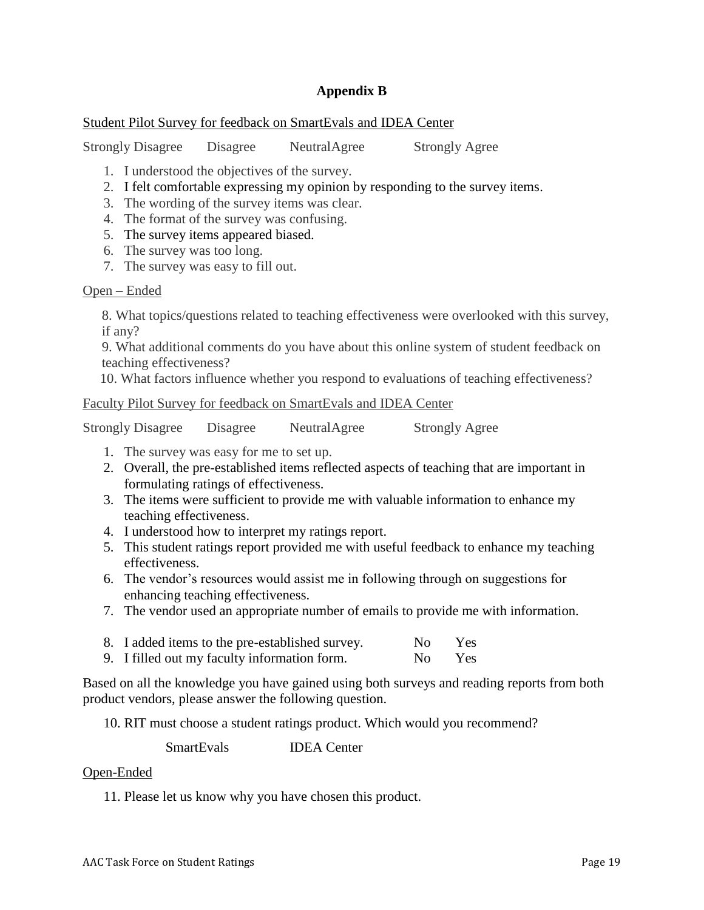### **Appendix B**

#### Student Pilot Survey for feedback on SmartEvals and IDEA Center

Strongly Disagree Disagree NeutralAgree Strongly Agree

- 1. I understood the objectives of the survey.
- 2. I felt comfortable expressing my opinion by responding to the survey items.
- 3. The wording of the survey items was clear.
- 4. The format of the survey was confusing.
- 5. The survey items appeared biased.
- 6. The survey was too long.
- 7. The survey was easy to fill out.

#### Open – Ended

8. What topics/questions related to teaching effectiveness were overlooked with this survey, if any?

9. What additional comments do you have about this online system of student feedback on teaching effectiveness?

10. What factors influence whether you respond to evaluations of teaching effectiveness?

#### Faculty Pilot Survey for feedback on SmartEvals and IDEA Center

| <b>Strongly Disagree</b> | Disagree | NeutralAgree | <b>Strongly Agree</b> |
|--------------------------|----------|--------------|-----------------------|
|                          |          |              |                       |

- 1. The survey was easy for me to set up.
- 2. Overall, the pre-established items reflected aspects of teaching that are important in formulating ratings of effectiveness.
- 3. The items were sufficient to provide me with valuable information to enhance my teaching effectiveness.
- 4. I understood how to interpret my ratings report.
- 5. This student ratings report provided me with useful feedback to enhance my teaching effectiveness.
- 6. The vendor's resources would assist me in following through on suggestions for enhancing teaching effectiveness.
- 7. The vendor used an appropriate number of emails to provide me with information.
- 8. I added items to the pre-established survey. No Yes 9. I filled out my faculty information form. No Yes

Based on all the knowledge you have gained using both surveys and reading reports from both product vendors, please answer the following question.

10. RIT must choose a student ratings product. Which would you recommend?

SmartEvals IDEA Center

#### Open-Ended

11. Please let us know why you have chosen this product.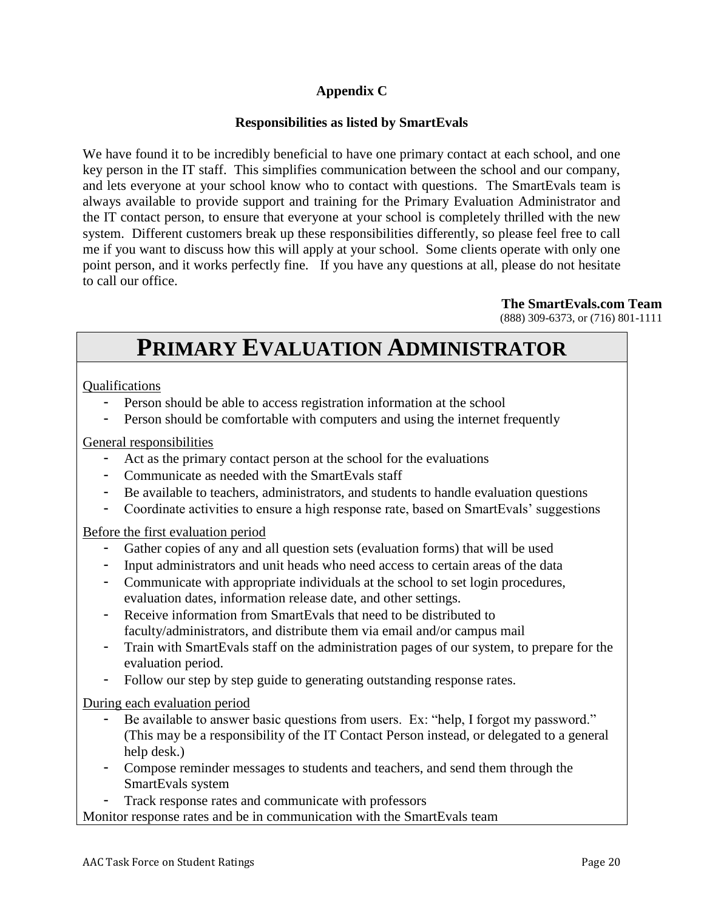# **Appendix C**

# **Responsibilities as listed by SmartEvals**

We have found it to be incredibly beneficial to have one primary contact at each school, and one key person in the IT staff. This simplifies communication between the school and our company, and lets everyone at your school know who to contact with questions. The SmartEvals team is always available to provide support and training for the Primary Evaluation Administrator and the IT contact person, to ensure that everyone at your school is completely thrilled with the new system. Different customers break up these responsibilities differently, so please feel free to call me if you want to discuss how this will apply at your school. Some clients operate with only one point person, and it works perfectly fine. If you have any questions at all, please do not hesitate to call our office.

#### **The SmartEvals.com Team**

(888) 309-6373, or (716) 801-1111

# **PRIMARY EVALUATION ADMINISTRATOR**

#### Qualifications

- Person should be able to access registration information at the school
- Person should be comfortable with computers and using the internet frequently

### General responsibilities

- Act as the primary contact person at the school for the evaluations
- Communicate as needed with the SmartEvals staff
- Be available to teachers, administrators, and students to handle evaluation questions
- Coordinate activities to ensure a high response rate, based on SmartEvals' suggestions

#### Before the first evaluation period

- Gather copies of any and all question sets (evaluation forms) that will be used
- Input administrators and unit heads who need access to certain areas of the data
- Communicate with appropriate individuals at the school to set login procedures, evaluation dates, information release date, and other settings.
- Receive information from SmartEvals that need to be distributed to faculty/administrators, and distribute them via email and/or campus mail
- Train with SmartEvals staff on the administration pages of our system, to prepare for the evaluation period.
- Follow our step by step guide to generating outstanding response rates.

#### During each evaluation period

- Be available to answer basic questions from users. Ex: "help, I forgot my password." (This may be a responsibility of the IT Contact Person instead, or delegated to a general help desk.)
- Compose reminder messages to students and teachers, and send them through the SmartEvals system
- Track response rates and communicate with professors

Monitor response rates and be in communication with the SmartEvals team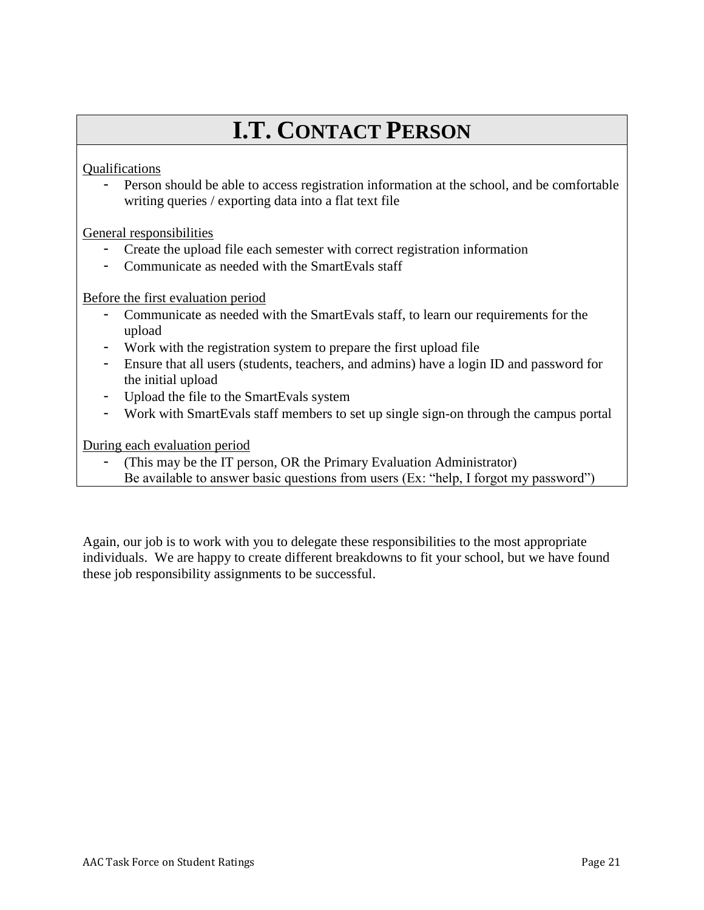# **I.T. CONTACT PERSON**

Qualifications

- Person should be able to access registration information at the school, and be comfortable writing queries / exporting data into a flat text file

General responsibilities

- Create the upload file each semester with correct registration information
- Communicate as needed with the SmartEvals staff

Before the first evaluation period

- Communicate as needed with the SmartEvals staff, to learn our requirements for the upload
- Work with the registration system to prepare the first upload file
- Ensure that all users (students, teachers, and admins) have a login ID and password for the initial upload
- Upload the file to the SmartEvals system
- Work with SmartEvals staff members to set up single sign-on through the campus portal

During each evaluation period

- (This may be the IT person, OR the Primary Evaluation Administrator)
- Be available to answer basic questions from users (Ex: "help, I forgot my password")

Again, our job is to work with you to delegate these responsibilities to the most appropriate individuals. We are happy to create different breakdowns to fit your school, but we have found these job responsibility assignments to be successful.